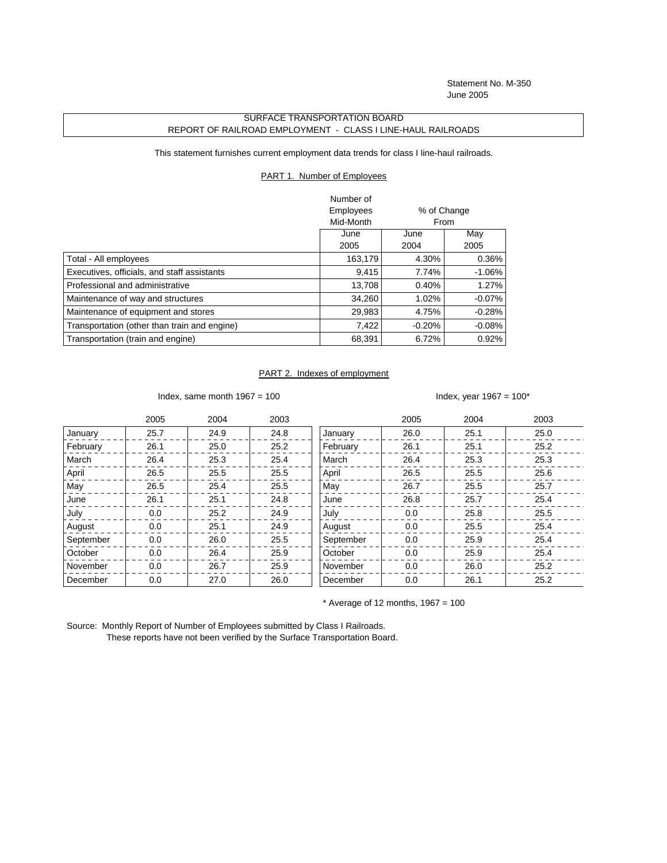Statement No. M-350 June 2005

## SURFACE TRANSPORTATION BOARD REPORT OF RAILROAD EMPLOYMENT - CLASS I LINE-HAUL RAILROADS

This statement furnishes current employment data trends for class I line-haul railroads.

## PART 1. Number of Employees

|                                              | Number of |          |             |
|----------------------------------------------|-----------|----------|-------------|
|                                              | Employees |          | % of Change |
|                                              | Mid-Month |          | From        |
|                                              | June      | June     | May         |
|                                              | 2005      | 2004     | 2005        |
| Total - All employees                        | 163,179   | 4.30%    | 0.36%       |
| Executives, officials, and staff assistants  | 9,415     | 7.74%    | $-1.06\%$   |
| Professional and administrative              | 13.708    | 0.40%    | 1.27%       |
| Maintenance of way and structures            | 34.260    | 1.02%    | $-0.07\%$   |
| Maintenance of equipment and stores          | 29,983    | 4.75%    | $-0.28%$    |
| Transportation (other than train and engine) | 7,422     | $-0.20%$ | $-0.08%$    |
| Transportation (train and engine)            | 68,391    | 6.72%    | $0.92\%$    |

## PART 2. Indexes of employment

Index, same month  $1967 = 100$  Index, year  $1967 = 100*$ 

|           | 2005 | 2004 | 2003 |           | 2005 | 2004 | 2003 |
|-----------|------|------|------|-----------|------|------|------|
| January   | 25.7 | 24.9 | 24.8 | January   | 26.0 | 25.1 | 25.0 |
| February  | 26.1 | 25.0 | 25.2 | February  | 26.1 | 25.1 | 25.2 |
| March     | 26.4 | 25.3 | 25.4 | March     | 26.4 | 25.3 | 25.3 |
| April     | 26.5 | 25.5 | 25.5 | April     | 26.5 | 25.5 | 25.6 |
| May       | 26.5 | 25.4 | 25.5 | May       | 26.7 | 25.5 | 25.7 |
| June      | 26.1 | 25.1 | 24.8 | June      | 26.8 | 25.7 | 25.4 |
| July      | 0.0  | 25.2 | 24.9 | July      | 0.0  | 25.8 | 25.5 |
| August    | 0.0  | 25.1 | 24.9 | August    | 0.0  | 25.5 | 25.4 |
| September | 0.0  | 26.0 | 25.5 | September | 0.0  | 25.9 | 25.4 |
| October   | 0.0  | 26.4 | 25.9 | October   | 0.0  | 25.9 | 25.4 |
| November  | 0.0  | 26.7 | 25.9 | November  | 0.0  | 26.0 | 25.2 |
| December  | 0.0  | 27.0 | 26.0 | December  | 0.0  | 26.1 | 25.2 |

 $*$  Average of 12 months, 1967 = 100

Source: Monthly Report of Number of Employees submitted by Class I Railroads. These reports have not been verified by the Surface Transportation Board.